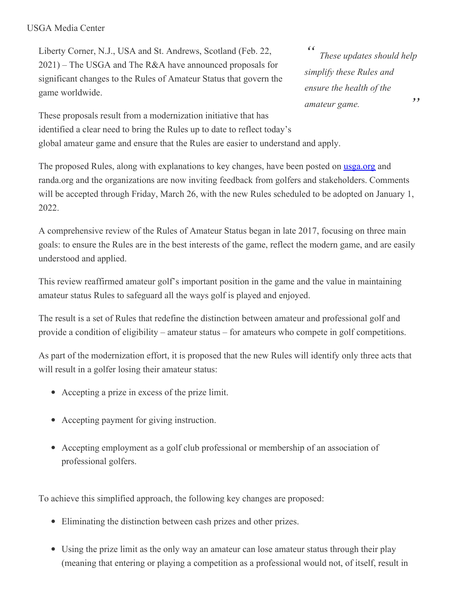## USGA Media Center

Liberty Corner, N.J., USA and St. Andrews, Scotland (Feb. 22, 2021) – The USGA and The R&A have announced proposals for significant changes to the Rules of Amateur Status that govern the game worldwide.

*" " These updates should help simplify these Rules and ensure the health of the amateur game.*

These proposals result from a modernization initiative that has identified a clear need to bring the Rules up to date to reflect today's global amateur game and ensure that the Rules are easier to understand and apply.

The proposed Rules, along with explanations to key changes, have been posted on **[usga.org](http://www.usga.org/amateurstatus)** and randa.org and the organizations are now inviting feedback from golfers and stakeholders. Comments will be accepted through Friday, March 26, with the new Rules scheduled to be adopted on January 1, 2022.

A comprehensive review of the Rules of Amateur Status began in late 2017, focusing on three main goals: to ensure the Rules are in the best interests of the game, reflect the modern game, and are easily understood and applied.

This review reaffirmed amateur golf's important position in the game and the value in maintaining amateur status Rules to safeguard all the ways golf is played and enjoyed.

The result is a set of Rules that redefine the distinction between amateur and professional golf and provide a condition of eligibility – amateur status – for amateurs who compete in golf competitions.

As part of the modernization effort, it is proposed that the new Rules will identify only three acts that will result in a golfer losing their amateur status:

- Accepting a prize in excess of the prize limit.
- Accepting payment for giving instruction.
- Accepting employment as a golf club professional or membership of an association of professional golfers.

To achieve this simplified approach, the following key changes are proposed:

- Eliminating the distinction between cash prizes and other prizes.
- Using the prize limit as the only way an amateur can lose amateur status through their play (meaning that entering or playing a competition as a professional would not, of itself, result in